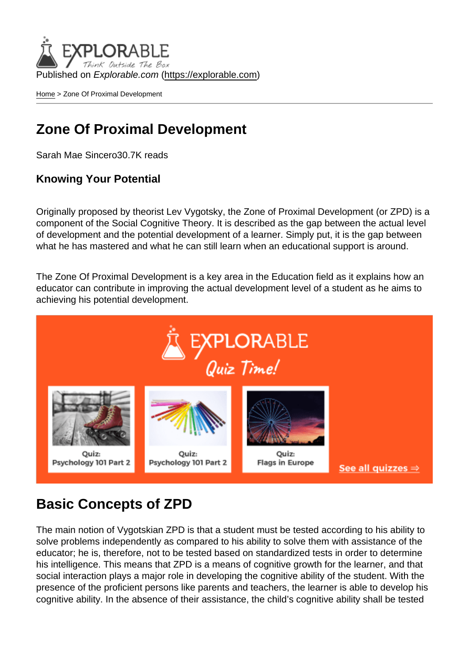Published on Explorable.com (<https://explorable.com>)

[Home](https://explorable.com/) > Zone Of Proximal Development

## Zone Of Proximal Development

Sarah Mae Sincero30.7K reads

Knowing Your Potential

Originally proposed by theorist Lev Vygotsky, the Zone of Proximal Development (or ZPD) is a component of the Social Cognitive Theory. It is described as the gap between the actual level of development and the potential development of a learner. Simply put, it is the gap between what he has mastered and what he can still learn when an educational support is around.

The Zone Of Proximal Development is a key area in the Education field as it explains how an educator can contribute in improving the actual development level of a student as he aims to achieving his potential development.

## Basic Concepts of ZPD

The main notion of Vygotskian ZPD is that a student must be tested according to his ability to solve problems independently as compared to his ability to solve them with assistance of the educator; he is, therefore, not to be tested based on standardized tests in order to determine his intelligence. This means that ZPD is a means of cognitive growth for the learner, and that social interaction plays a major role in developing the cognitive ability of the student. With the presence of the proficient persons like parents and teachers, the learner is able to develop his cognitive ability. In the absence of their assistance, the child's cognitive ability shall be tested